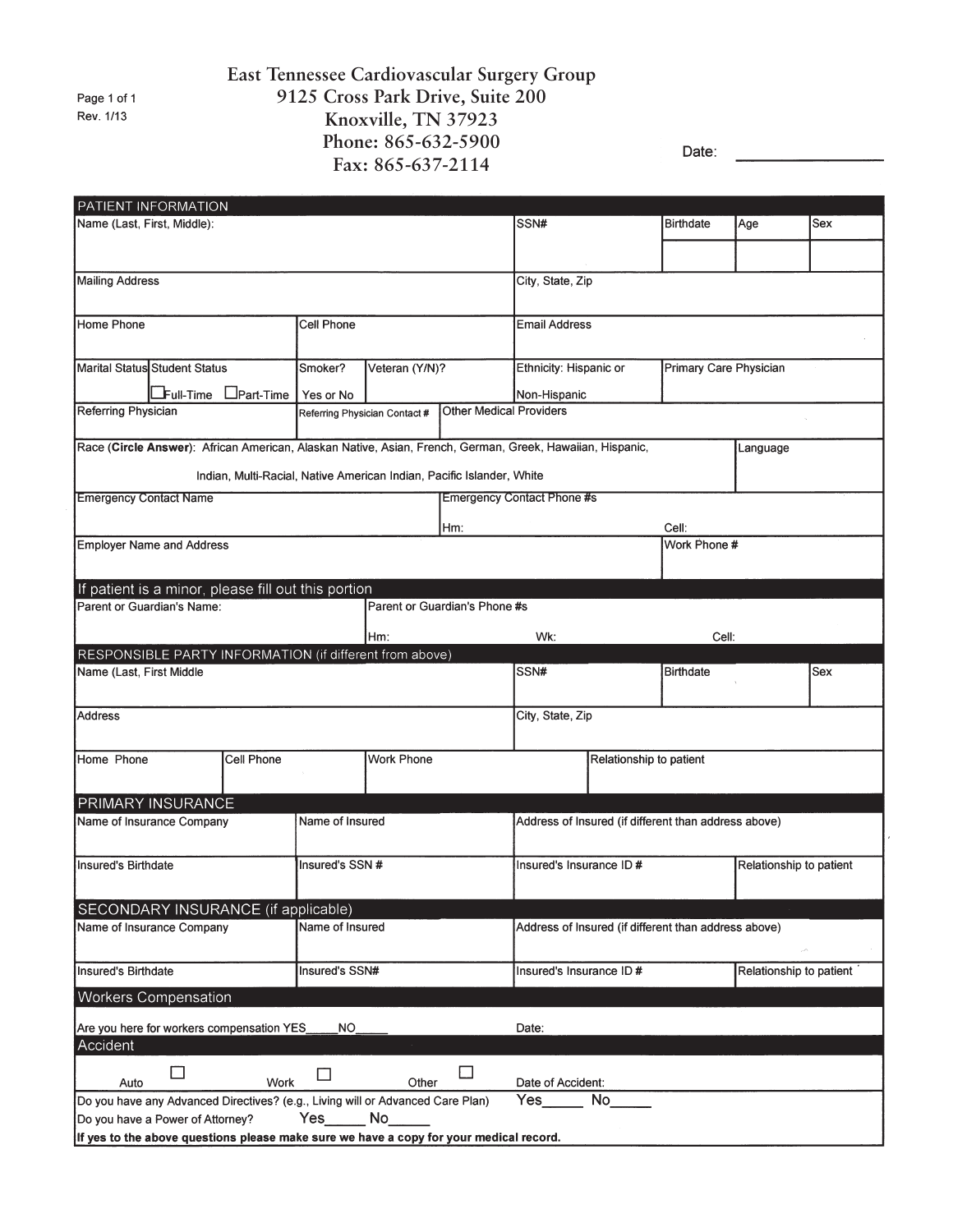Page 1 of 1 Rev. 1/13

## **East Tennessee Cardiovascular Surgery Group 9125 Cross Park Drive, Suite 200 Knoxville, TN 37923 Phone: 865-632-5900 Fax: 865-637-2114**

Date:

|                                                                                        | PATIENT INFORMATION                                                                                                   |                                                                                |                   |                               |                                |                                                      |                                                  |                         |                         |     |  |
|----------------------------------------------------------------------------------------|-----------------------------------------------------------------------------------------------------------------------|--------------------------------------------------------------------------------|-------------------|-------------------------------|--------------------------------|------------------------------------------------------|--------------------------------------------------|-------------------------|-------------------------|-----|--|
| Name (Last, First, Middle):                                                            |                                                                                                                       |                                                                                |                   | SSN#                          |                                | Birthdate                                            | Age                                              | Sex                     |                         |     |  |
|                                                                                        |                                                                                                                       |                                                                                |                   |                               |                                |                                                      |                                                  |                         |                         |     |  |
|                                                                                        |                                                                                                                       |                                                                                |                   |                               |                                |                                                      |                                                  |                         |                         |     |  |
| Mailing Address                                                                        |                                                                                                                       |                                                                                |                   |                               |                                | City, State, Zip                                     |                                                  |                         |                         |     |  |
|                                                                                        |                                                                                                                       |                                                                                |                   |                               |                                |                                                      |                                                  |                         |                         |     |  |
| Home Phone                                                                             |                                                                                                                       |                                                                                | Cell Phone        |                               |                                | <b>Email Address</b>                                 |                                                  |                         |                         |     |  |
|                                                                                        |                                                                                                                       |                                                                                |                   |                               |                                |                                                      |                                                  |                         |                         |     |  |
|                                                                                        | Marital Status Student Status<br>Smoker?                                                                              |                                                                                |                   | Veteran (Y/N)?                |                                |                                                      | Ethnicity: Hispanic or<br>Primary Care Physician |                         |                         |     |  |
|                                                                                        |                                                                                                                       |                                                                                |                   |                               |                                |                                                      |                                                  |                         |                         |     |  |
| Referring Physician                                                                    | $E$ Full-Time                                                                                                         | $L$ Part-Time                                                                  | Yes or No         |                               | <b>Other Medical Providers</b> | Non-Hispanic                                         |                                                  |                         |                         |     |  |
|                                                                                        |                                                                                                                       |                                                                                |                   | Referring Physician Contact # |                                |                                                      |                                                  |                         |                         |     |  |
|                                                                                        | Race (Circle Answer): African American, Alaskan Native, Asian, French, German, Greek, Hawaiian, Hispanic,<br>Language |                                                                                |                   |                               |                                |                                                      |                                                  |                         |                         |     |  |
|                                                                                        |                                                                                                                       |                                                                                |                   |                               |                                |                                                      |                                                  |                         |                         |     |  |
|                                                                                        |                                                                                                                       | Indian, Multi-Racial, Native American Indian, Pacific Islander, White          |                   |                               |                                |                                                      |                                                  |                         |                         |     |  |
| <b>Emergency Contact Name</b>                                                          |                                                                                                                       |                                                                                |                   |                               |                                | <b>Emergency Contact Phone #s</b>                    |                                                  |                         |                         |     |  |
|                                                                                        |                                                                                                                       |                                                                                |                   |                               | Hm:                            |                                                      |                                                  | Cell:                   |                         |     |  |
|                                                                                        | Employer Name and Address                                                                                             |                                                                                |                   |                               |                                | Work Phone #                                         |                                                  |                         |                         |     |  |
|                                                                                        |                                                                                                                       |                                                                                |                   |                               |                                |                                                      |                                                  |                         |                         |     |  |
|                                                                                        |                                                                                                                       |                                                                                |                   |                               |                                |                                                      |                                                  |                         |                         |     |  |
|                                                                                        | Parent or Guardian's Name:                                                                                            | If patient is a minor, please fill out this portion                            |                   |                               | Parent or Guardian's Phone #s  |                                                      |                                                  |                         |                         |     |  |
|                                                                                        |                                                                                                                       |                                                                                |                   |                               |                                |                                                      |                                                  |                         |                         |     |  |
|                                                                                        |                                                                                                                       |                                                                                |                   | Hm:                           |                                | Wk:                                                  |                                                  | Cell:                   |                         |     |  |
|                                                                                        |                                                                                                                       | RESPONSIBLE PARTY INFORMATION (if different from above)                        |                   |                               |                                |                                                      |                                                  |                         |                         |     |  |
| Name (Last, First Middle                                                               |                                                                                                                       |                                                                                |                   |                               |                                | SSN#                                                 |                                                  | <b>Birthdate</b>        |                         | Sex |  |
|                                                                                        |                                                                                                                       |                                                                                |                   |                               |                                |                                                      |                                                  |                         |                         |     |  |
| <b>Address</b>                                                                         |                                                                                                                       |                                                                                |                   |                               |                                | City, State, Zip                                     |                                                  |                         |                         |     |  |
|                                                                                        |                                                                                                                       |                                                                                |                   |                               |                                |                                                      |                                                  |                         |                         |     |  |
| Home Phone<br>Cell Phone                                                               |                                                                                                                       |                                                                                | <b>Work Phone</b> |                               |                                | Relationship to patient                              |                                                  |                         |                         |     |  |
|                                                                                        |                                                                                                                       |                                                                                |                   |                               |                                |                                                      |                                                  |                         |                         |     |  |
|                                                                                        | PRIMARY INSURANCE                                                                                                     |                                                                                |                   |                               |                                |                                                      |                                                  |                         |                         |     |  |
|                                                                                        | Name of Insurance Company                                                                                             |                                                                                | Name of Insured   |                               |                                |                                                      |                                                  |                         |                         |     |  |
|                                                                                        |                                                                                                                       |                                                                                |                   |                               |                                | Address of Insured (if different than address above) |                                                  |                         |                         |     |  |
|                                                                                        |                                                                                                                       |                                                                                |                   |                               |                                | Insured's Insurance ID #                             |                                                  |                         |                         |     |  |
| Insured's Birthdate                                                                    |                                                                                                                       |                                                                                | Insured's SSN #   |                               |                                |                                                      |                                                  |                         | Relationship to patient |     |  |
|                                                                                        |                                                                                                                       |                                                                                |                   |                               |                                |                                                      |                                                  |                         |                         |     |  |
| SECONDARY INSURANCE (if applicable)                                                    |                                                                                                                       |                                                                                |                   |                               |                                |                                                      |                                                  |                         |                         |     |  |
|                                                                                        | Name of Insurance Company                                                                                             |                                                                                | Name of Insured   |                               |                                | Address of Insured (if different than address above) |                                                  |                         |                         |     |  |
|                                                                                        |                                                                                                                       |                                                                                |                   |                               |                                |                                                      |                                                  |                         |                         |     |  |
| Insured's Birthdate                                                                    |                                                                                                                       |                                                                                | Insured's SSN#    |                               |                                | Insured's Insurance ID #                             |                                                  | Relationship to patient |                         |     |  |
| <b>Workers Compensation</b>                                                            |                                                                                                                       |                                                                                |                   |                               |                                |                                                      |                                                  |                         |                         |     |  |
|                                                                                        |                                                                                                                       |                                                                                |                   |                               |                                |                                                      |                                                  |                         |                         |     |  |
| Are you here for workers compensation YES<br>NO.<br>Date:                              |                                                                                                                       |                                                                                |                   |                               |                                |                                                      |                                                  |                         |                         |     |  |
| Accident                                                                               |                                                                                                                       |                                                                                |                   |                               |                                |                                                      |                                                  |                         |                         |     |  |
|                                                                                        | $\blacksquare$                                                                                                        |                                                                                |                   |                               | $\Box$                         |                                                      |                                                  |                         |                         |     |  |
| Auto                                                                                   |                                                                                                                       | Work                                                                           |                   | Other                         |                                | Date of Accident:                                    |                                                  |                         |                         |     |  |
|                                                                                        |                                                                                                                       | Do you have any Advanced Directives? (e.g., Living will or Advanced Care Plan) |                   |                               |                                | Yes                                                  | No.                                              |                         |                         |     |  |
|                                                                                        | Do you have a Power of Attorney?                                                                                      |                                                                                | Yes               | No                            |                                |                                                      |                                                  |                         |                         |     |  |
| If yes to the above questions please make sure we have a copy for your medical record. |                                                                                                                       |                                                                                |                   |                               |                                |                                                      |                                                  |                         |                         |     |  |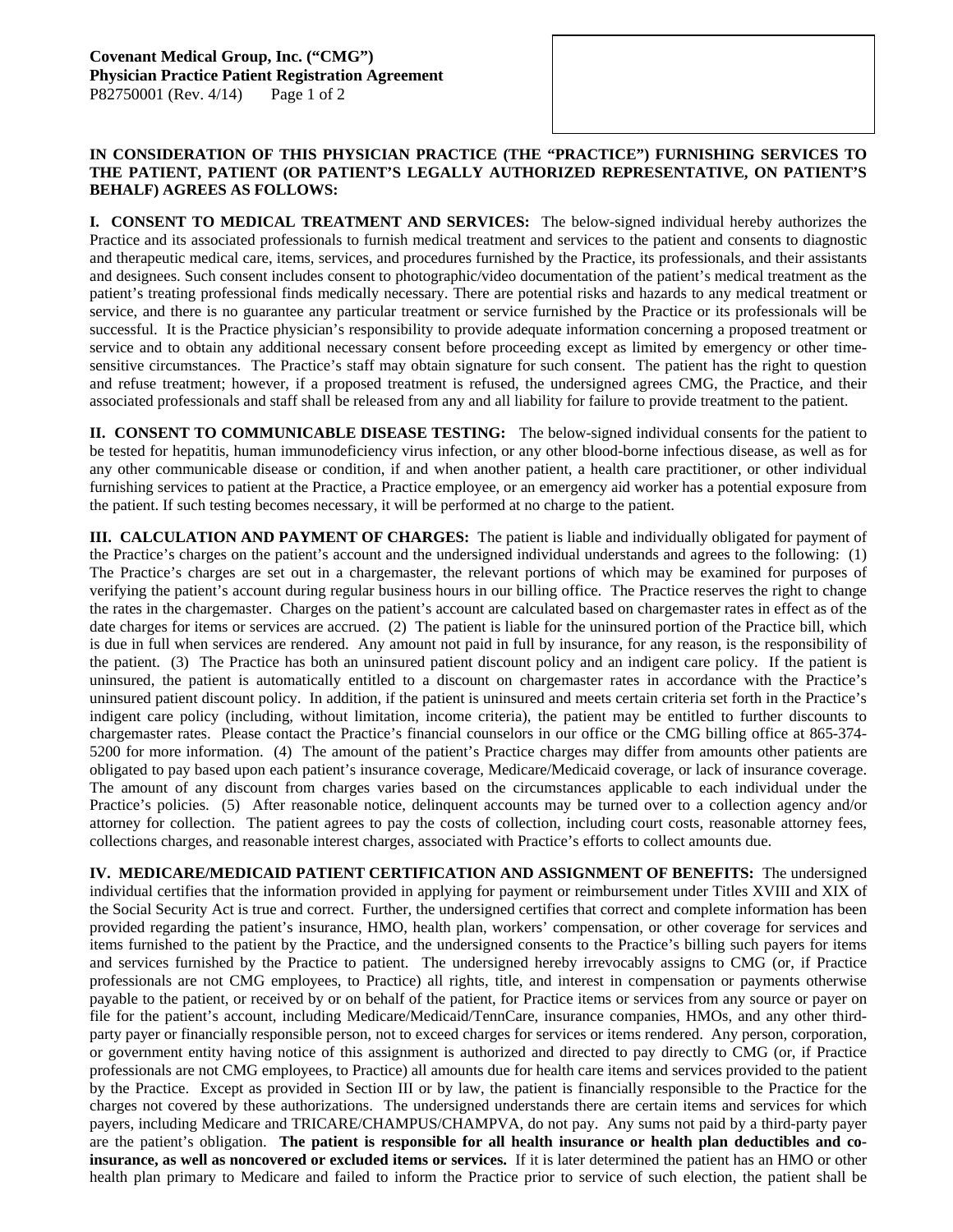## **IN CONSIDERATION OF THIS PHYSICIAN PRACTICE (THE "PRACTICE") FURNISHING SERVICES TO THE PATIENT, PATIENT (OR PATIENT'S LEGALLY AUTHORIZED REPRESENTATIVE, ON PATIENT'S BEHALF) AGREES AS FOLLOWS:**

**I. CONSENT TO MEDICAL TREATMENT AND SERVICES:** The below-signed individual hereby authorizes the Practice and its associated professionals to furnish medical treatment and services to the patient and consents to diagnostic and therapeutic medical care, items, services, and procedures furnished by the Practice, its professionals, and their assistants and designees. Such consent includes consent to photographic/video documentation of the patient's medical treatment as the patient's treating professional finds medically necessary. There are potential risks and hazards to any medical treatment or service, and there is no guarantee any particular treatment or service furnished by the Practice or its professionals will be successful. It is the Practice physician's responsibility to provide adequate information concerning a proposed treatment or service and to obtain any additional necessary consent before proceeding except as limited by emergency or other timesensitive circumstances. The Practice's staff may obtain signature for such consent. The patient has the right to question and refuse treatment; however, if a proposed treatment is refused, the undersigned agrees CMG, the Practice, and their associated professionals and staff shall be released from any and all liability for failure to provide treatment to the patient.

**II. CONSENT TO COMMUNICABLE DISEASE TESTING:** The below-signed individual consents for the patient to be tested for hepatitis, human immunodeficiency virus infection, or any other blood-borne infectious disease, as well as for any other communicable disease or condition, if and when another patient, a health care practitioner, or other individual furnishing services to patient at the Practice, a Practice employee, or an emergency aid worker has a potential exposure from the patient. If such testing becomes necessary, it will be performed at no charge to the patient.

**III. CALCULATION AND PAYMENT OF CHARGES:** The patient is liable and individually obligated for payment of the Practice's charges on the patient's account and the undersigned individual understands and agrees to the following: (1) The Practice's charges are set out in a chargemaster, the relevant portions of which may be examined for purposes of verifying the patient's account during regular business hours in our billing office. The Practice reserves the right to change the rates in the chargemaster. Charges on the patient's account are calculated based on chargemaster rates in effect as of the date charges for items or services are accrued. (2) The patient is liable for the uninsured portion of the Practice bill, which is due in full when services are rendered. Any amount not paid in full by insurance, for any reason, is the responsibility of the patient. (3) The Practice has both an uninsured patient discount policy and an indigent care policy. If the patient is uninsured, the patient is automatically entitled to a discount on chargemaster rates in accordance with the Practice's uninsured patient discount policy. In addition, if the patient is uninsured and meets certain criteria set forth in the Practice's indigent care policy (including, without limitation, income criteria), the patient may be entitled to further discounts to chargemaster rates. Please contact the Practice's financial counselors in our office or the CMG billing office at 865-374- 5200 for more information. (4) The amount of the patient's Practice charges may differ from amounts other patients are obligated to pay based upon each patient's insurance coverage, Medicare/Medicaid coverage, or lack of insurance coverage. The amount of any discount from charges varies based on the circumstances applicable to each individual under the Practice's policies. (5) After reasonable notice, delinquent accounts may be turned over to a collection agency and/or attorney for collection. The patient agrees to pay the costs of collection, including court costs, reasonable attorney fees, collections charges, and reasonable interest charges, associated with Practice's efforts to collect amounts due.

**IV. MEDICARE/MEDICAID PATIENT CERTIFICATION AND ASSIGNMENT OF BENEFITS:** The undersigned individual certifies that the information provided in applying for payment or reimbursement under Titles XVIII and XIX of the Social Security Act is true and correct. Further, the undersigned certifies that correct and complete information has been provided regarding the patient's insurance, HMO, health plan, workers' compensation, or other coverage for services and items furnished to the patient by the Practice, and the undersigned consents to the Practice's billing such payers for items and services furnished by the Practice to patient. The undersigned hereby irrevocably assigns to CMG (or, if Practice professionals are not CMG employees, to Practice) all rights, title, and interest in compensation or payments otherwise payable to the patient, or received by or on behalf of the patient, for Practice items or services from any source or payer on file for the patient's account, including Medicare/Medicaid/TennCare, insurance companies, HMOs, and any other thirdparty payer or financially responsible person, not to exceed charges for services or items rendered. Any person, corporation, or government entity having notice of this assignment is authorized and directed to pay directly to CMG (or, if Practice professionals are not CMG employees, to Practice) all amounts due for health care items and services provided to the patient by the Practice. Except as provided in Section III or by law, the patient is financially responsible to the Practice for the charges not covered by these authorizations. The undersigned understands there are certain items and services for which payers, including Medicare and TRICARE/CHAMPUS/CHAMPVA, do not pay. Any sums not paid by a third-party payer are the patient's obligation. **The patient is responsible for all health insurance or health plan deductibles and coinsurance, as well as noncovered or excluded items or services.** If it is later determined the patient has an HMO or other health plan primary to Medicare and failed to inform the Practice prior to service of such election, the patient shall be